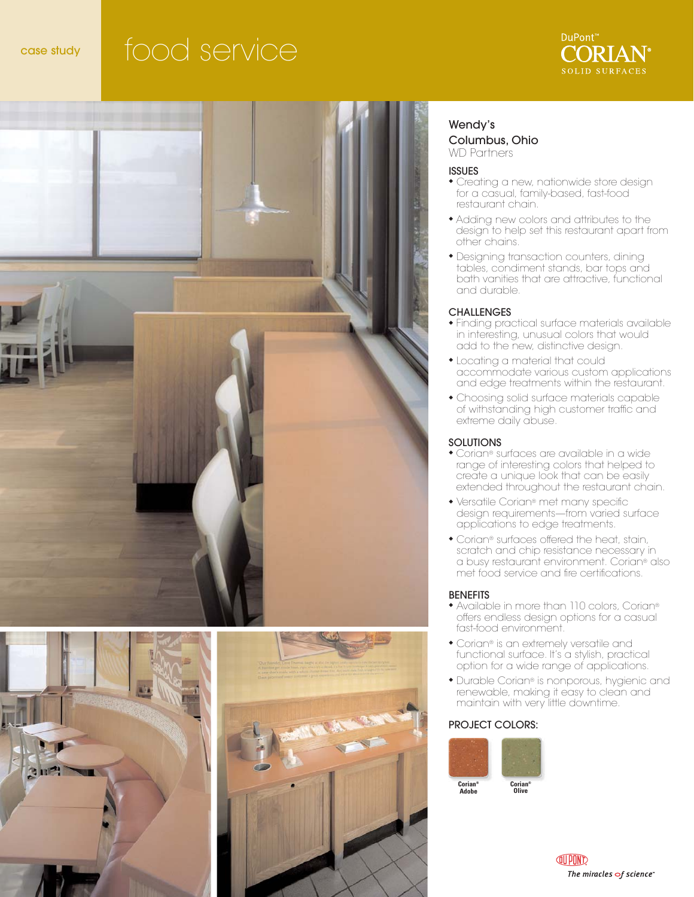# case study food service







### Wendy's Columbus, Ohio WD Partners

### ISSUES

- ◆ Creating a new, nationwide store design for a casual, family-based, fast-food restaurant chain.
- ◆ Adding new colors and attributes to the design to help set this restaurant apart from other chains.
- ◆ Designing transaction counters, dining tables, condiment stands, bar tops and bath vanities that are attractive, functional and durable.

### **CHALLENGES**

- ◆ Finding practical surface materials available in interesting, unusual colors that would add to the new, distinctive design.
- ◆ Locating a material that could accommodate various custom applications and edge treatments within the restaurant.
- ◆ Choosing solid surface materials capable of withstanding high customer traffic and extreme daily abuse.

### **SOLUTIONS**

- ◆ Corian® surfaces are available in a wide range of interesting colors that helped to create a unique look that can be easily extended throughout the restaurant chain.
- ◆ Versatile Corian® met many specific design requirements—from varied surface applications to edge treatments.
- ◆ Corian® surfaces offered the heat, stain, scratch and chip resistance necessary in a busy restaurant environment. Corian® also met food service and fire certifications.

### **BENEFITS**

- ◆ Available in more than 110 colors, Corian® offers endless design options for a casual fast-food environment.
- ◆ Corian® is an extremely versatile and functional surface. It's a stylish, practical option for a wide range of applications.
- ◆ Durable Corian® is nonporous, hygienic and renewable, making it easy to clean and maintain with very little downtime.

### PROJECT COLORS: